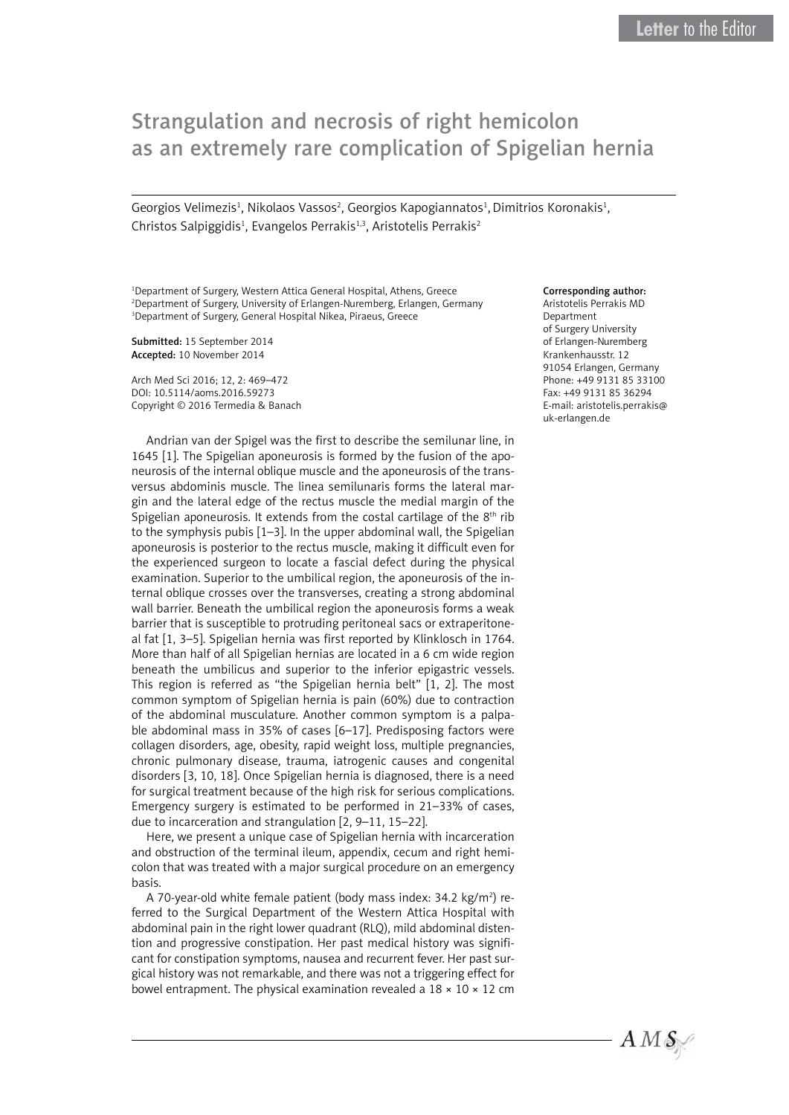# Strangulation and necrosis of right hemicolon as an extremely rare complication of Spigelian hernia

Georgios Velimezis<sup>1</sup>, Nikolaos Vassos<sup>2</sup>, Georgios Kapogiannatos<sup>1</sup>, Dimitrios Koronakis<sup>1</sup>, Christos Salpiggidis<sup>1</sup>, Evangelos Perrakis<sup>1,3</sup>, Aristotelis Perrakis<sup>2</sup>

<sup>1</sup>Department of Surgery, Western Attica General Hospital, Athens, Greece 2 Department of Surgery, University of Erlangen-Nuremberg, Erlangen, Germany 3 Department of Surgery, General Hospital Nikea, Piraeus, Greece

Submitted: 15 September 2014 Accepted: 10 November 2014

Arch Med Sci 2016; 12, 2: 469–472 DOI: 10.5114/aoms.2016.59273 Copyright © 2016 Termedia & Banach

Andrian van der Spigel was the first to describe the semilunar line, in 1645 [1]. The Spigelian aponeurosis is formed by the fusion of the aponeurosis of the internal oblique muscle and the aponeurosis of the transversus abdominis muscle. The linea semilunaris forms the lateral margin and the lateral edge of the rectus muscle the medial margin of the Spigelian aponeurosis. It extends from the costal cartilage of the  $8<sup>th</sup>$  rib to the symphysis pubis [1–3]. In the upper abdominal wall, the Spigelian aponeurosis is posterior to the rectus muscle, making it difficult even for the experienced surgeon to locate a fascial defect during the physical examination. Superior to the umbilical region, the aponeurosis of the internal oblique crosses over the transverses, creating a strong abdominal wall barrier. Beneath the umbilical region the aponeurosis forms a weak barrier that is susceptible to protruding peritoneal sacs or extraperitoneal fat [1, 3–5]. Spigelian hernia was first reported by Klinklosch in 1764. More than half of all Spigelian hernias are located in a 6 cm wide region beneath the umbilicus and superior to the inferior epigastric vessels. This region is referred as "the Spigelian hernia belt" [1, 2]. The most common symptom of Spigelian hernia is pain (60%) due to contraction of the abdominal musculature. Another common symptom is a palpable abdominal mass in 35% of cases [6–17]. Predisposing factors were collagen disorders, age, obesity, rapid weight loss, multiple pregnancies, chronic pulmonary disease, trauma, iatrogenic causes and congenital disorders [3, 10, 18]. Once Spigelian hernia is diagnosed, there is a need for surgical treatment because of the high risk for serious complications. Emergency surgery is estimated to be performed in 21–33% of cases, due to incarceration and strangulation [2, 9–11, 15–22].

Here, we present a unique case of Spigelian hernia with incarceration and obstruction of the terminal ileum, appendix, cecum and right hemicolon that was treated with a major surgical procedure on an emergency basis.

A 70-year-old white female patient (body mass index: 34.2 kg/m<sup>2</sup>) referred to the Surgical Department of the Western Attica Hospital with abdominal pain in the right lower quadrant (RLQ), mild abdominal distention and progressive constipation. Her past medical history was significant for constipation symptoms, nausea and recurrent fever. Her past surgical history was not remarkable, and there was not a triggering effect for bowel entrapment. The physical examination revealed a  $18 \times 10 \times 12$  cm

#### Corresponding author:

Aristotelis Perrakis MD Department of Surgery University of Erlangen-Nuremberg Krankenhausstr. 12 91054 Erlangen, Germany Phone: +49 9131 85 33100 Fax: +49 9131 85 36294 E-mail: [aristotelis.perrakis@](mailto:aristotelis.perrakis@uk-erlangen.de) [uk-erlangen.de](mailto:aristotelis.perrakis@uk-erlangen.de)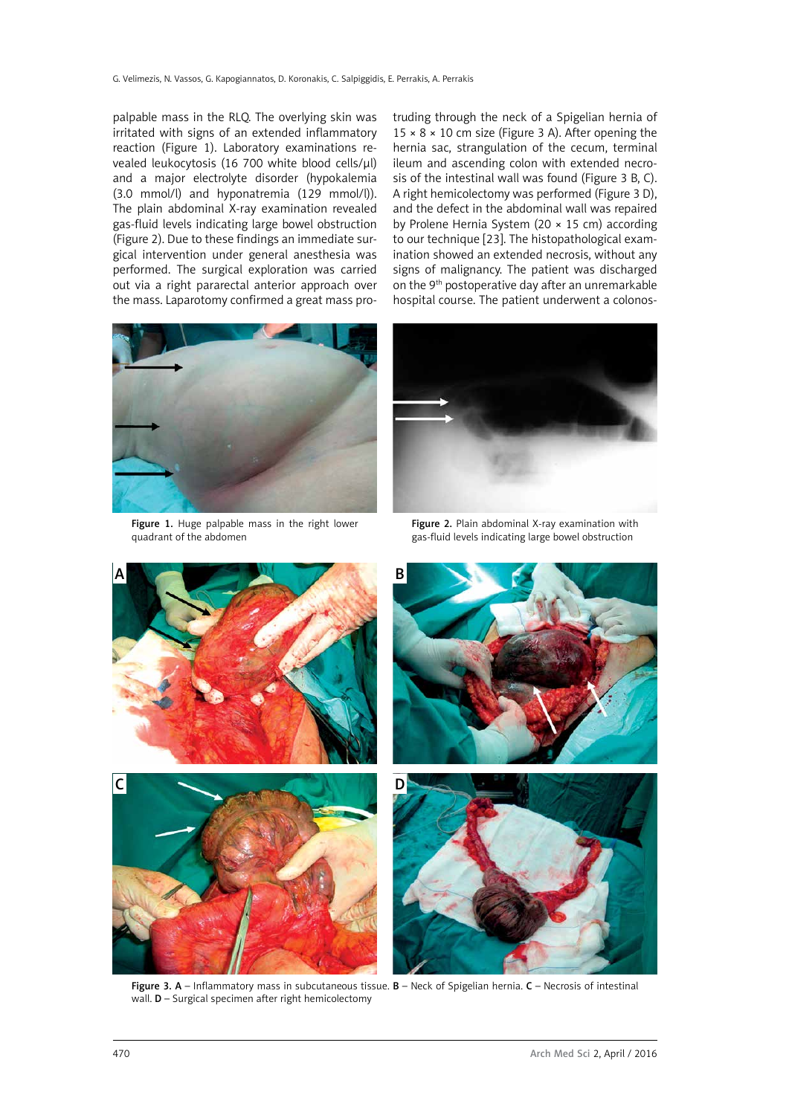palpable mass in the RLQ. The overlying skin was irritated with signs of an extended inflammatory reaction (Figure 1). Laboratory examinations revealed leukocytosis (16 700 white blood cells/µl) and a major electrolyte disorder (hypokalemia (3.0 mmol/l) and hyponatremia (129 mmol/l)). The plain abdominal X-ray examination revealed gas-fluid levels indicating large bowel obstruction (Figure 2). Due to these findings an immediate surgical intervention under general anesthesia was performed. The surgical exploration was carried out via a right pararectal anterior approach over the mass. Laparotomy confirmed a great mass pro-





Figure 1. Huge palpable mass in the right lower quadrant of the abdomen



Figure 2. Plain abdominal X-ray examination with gas-fluid levels indicating large bowel obstruction



Figure 3. A – Inflammatory mass in subcutaneous tissue.  $B$  – Neck of Spigelian hernia.  $C$  – Necrosis of intestinal wall. **D** – Surgical specimen after right hemicolectomy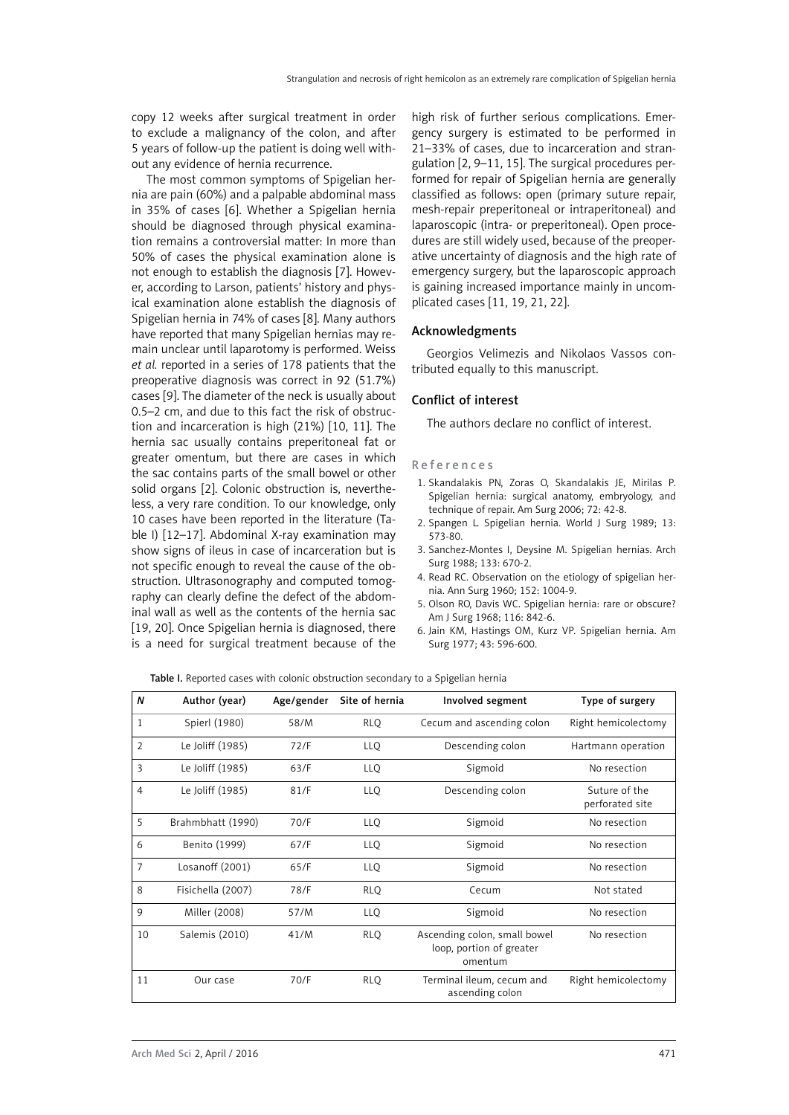copy 12 weeks after surgical treatment in order to exclude a malignancy of the colon, and after 5 years of follow-up the patient is doing well without any evidence of hernia recurrence.

The most common symptoms of Spigelian hernia are pain (60%) and a palpable abdominal mass in 35% of cases [6]. Whether a Spigelian hernia should be diagnosed through physical examination remains a controversial matter: In more than 50% of cases the physical examination alone is not enough to establish the diagnosis [7]. However, according to Larson, patients' history and physical examination alone establish the diagnosis of Spigelian hernia in 74% of cases [8]. Many authors have reported that many Spigelian hernias may remain unclear until laparotomy is performed. Weiss *et al.* reported in a series of 178 patients that the preoperative diagnosis was correct in 92 (51.7%) cases [9]. The diameter of the neck is usually about 0.5–2 cm, and due to this fact the risk of obstruction and incarceration is high (21%) [10, 11]. The hernia sac usually contains preperitoneal fat or greater omentum, but there are cases in which the sac contains parts of the small bowel or other solid organs [2]. Colonic obstruction is, nevertheless, a very rare condition. To our knowledge, only 10 cases have been reported in the literature (Table I) [12–17]. Abdominal X-ray examination may show signs of ileus in case of incarceration but is not specific enough to reveal the cause of the obstruction. Ultrasonography and computed tomography can clearly define the defect of the abdominal wall as well as the contents of the hernia sac [19, 20]. Once Spigelian hernia is diagnosed, there is a need for surgical treatment because of the

high risk of further serious complications. Emergency surgery is estimated to be performed in 21–33% of cases, due to incarceration and strangulation [2, 9–11, 15]. The surgical procedures performed for repair of Spigelian hernia are generally classified as follows: open (primary suture repair, mesh-repair preperitoneal or intraperitoneal) and laparoscopic (intra- or preperitoneal). Open procedures are still widely used, because of the preoperative uncertainty of diagnosis and the high rate of emergency surgery, but the laparoscopic approach is gaining increased importance mainly in uncomplicated cases [11, 19, 21, 22].

## Acknowledgments

Georgios Velimezis and Nikolaos Vassos contributed equally to this manuscript.

### Conflict of interest

The authors declare no conflict of interest.

#### References

- 1. Skandalakis PN, Zoras O, Skandalakis JE, Mirilas P. Spigelian hernia: surgical anatomy, embryology, and technique of repair. Am Surg 2006; 72: 42-8.
- 2. Spangen L. Spigelian hernia. World J Surg 1989; 13: 573-80.
- 3. Sanchez-Montes I, Deysine M. Spigelian hernias. Arch Surg 1988; 133: 670-2.
- 4. Read RC. Observation on the etiology of spigelian hernia. Ann Surg 1960; 152: 1004-9.
- 5. Olson RO, Davis WC. Spigelian hernia: rare or obscure? Am J Surg 1968; 116: 842-6.
- 6. Jain KM, Hastings OM, Kurz VP. Spigelian hernia. Am Surg 1977; 43: 596-600.

Table I. Reported cases with colonic obstruction secondary to a Spigelian hernia

| $\boldsymbol{N}$ | Author (year)     | Age/gender | Site of hernia | Involved segment                                                    | Type of surgery                  |
|------------------|-------------------|------------|----------------|---------------------------------------------------------------------|----------------------------------|
| $\mathbf{1}$     | Spierl (1980)     | 58/M       | <b>RLO</b>     | Cecum and ascending colon                                           | Right hemicolectomy              |
| $\overline{2}$   | Le Joliff (1985)  | 72/F       | <b>LLO</b>     | Descending colon                                                    | Hartmann operation               |
| 3                | Le Joliff (1985)  | 63/F       | <b>LLO</b>     | Sigmoid                                                             | No resection                     |
| 4                | Le Joliff (1985)  | 81/F       | <b>LLO</b>     | Descending colon                                                    | Suture of the<br>perforated site |
| 5                | Brahmbhatt (1990) | 70/F       | LLQ            | Sigmoid                                                             | No resection                     |
| 6                | Benito (1999)     | 67/F       | LLO            | Sigmoid                                                             | No resection                     |
| $\overline{7}$   | Losanoff (2001)   | 65/F       | LLO            | Sigmoid                                                             | No resection                     |
| 8                | Fisichella (2007) | 78/F       | <b>RLO</b>     | Cecum                                                               | Not stated                       |
| 9                | Miller (2008)     | 57/M       | <b>LLO</b>     | Sigmoid                                                             | No resection                     |
| 10               | Salemis (2010)    | 41/M       | <b>RLO</b>     | Ascending colon, small bowel<br>loop, portion of greater<br>omentum | No resection                     |
| 11               | Our case          | 70/F       | <b>RLO</b>     | Terminal ileum, cecum and<br>ascending colon                        | Right hemicolectomy              |